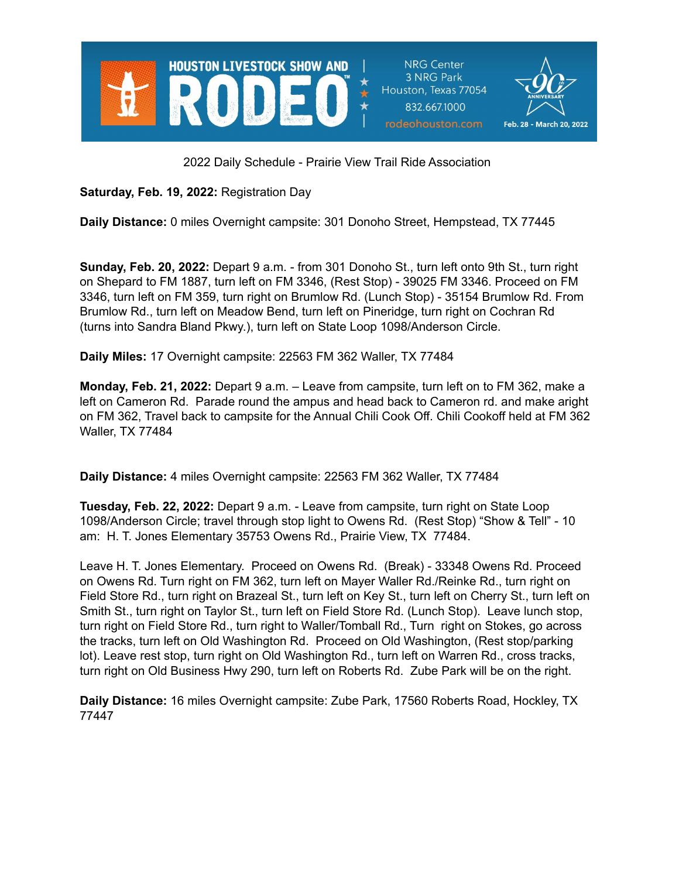

**NRG Center** 3 NRG Park Houston, Texas 77054 832.667.1000 rodeohouston.com



2022 Daily Schedule - Prairie View Trail Ride Association

**Saturday, Feb. 19, 2022:** Registration Day

**Daily Distance:** 0 miles Overnight campsite: 301 Donoho Street, Hempstead, TX 77445

**Sunday, Feb. 20, 2022:** Depart 9 a.m. - from 301 Donoho St., turn left onto 9th St., turn right on Shepard to FM 1887, turn left on FM 3346, (Rest Stop) - 39025 FM 3346. Proceed on FM 3346, turn left on FM 359, turn right on Brumlow Rd. (Lunch Stop) - 35154 Brumlow Rd. From Brumlow Rd., turn left on Meadow Bend, turn left on Pineridge, turn right on Cochran Rd (turns into Sandra Bland Pkwy.), turn left on State Loop 1098/Anderson Circle.

**Daily Miles:** 17 Overnight campsite: 22563 FM 362 Waller, TX 77484

**Monday, Feb. 21, 2022:** Depart 9 a.m. – Leave from campsite, turn left on to FM 362, make a left on Cameron Rd. Parade round the ampus and head back to Cameron rd. and make aright on FM 362, Travel back to campsite for the Annual Chili Cook Off. Chili Cookoff held at FM 362 Waller, TX 77484

**Daily Distance:** 4 miles Overnight campsite: 22563 FM 362 Waller, TX 77484

**Tuesday, Feb. 22, 2022:** Depart 9 a.m. - Leave from campsite, turn right on State Loop 1098/Anderson Circle; travel through stop light to Owens Rd. (Rest Stop) "Show & Tell" - 10 am: H. T. Jones Elementary 35753 Owens Rd., Prairie View, TX 77484.

Leave H. T. Jones Elementary. Proceed on Owens Rd. (Break) - 33348 Owens Rd. Proceed on Owens Rd. Turn right on FM 362, turn left on Mayer Waller Rd./Reinke Rd., turn right on Field Store Rd., turn right on Brazeal St., turn left on Key St., turn left on Cherry St., turn left on Smith St., turn right on Taylor St., turn left on Field Store Rd. (Lunch Stop). Leave lunch stop, turn right on Field Store Rd., turn right to Waller/Tomball Rd., Turn right on Stokes, go across the tracks, turn left on Old Washington Rd. Proceed on Old Washington, (Rest stop/parking lot). Leave rest stop, turn right on Old Washington Rd., turn left on Warren Rd., cross tracks, turn right on Old Business Hwy 290, turn left on Roberts Rd. Zube Park will be on the right.

**Daily Distance:** 16 miles Overnight campsite: Zube Park, 17560 Roberts Road, Hockley, TX 77447